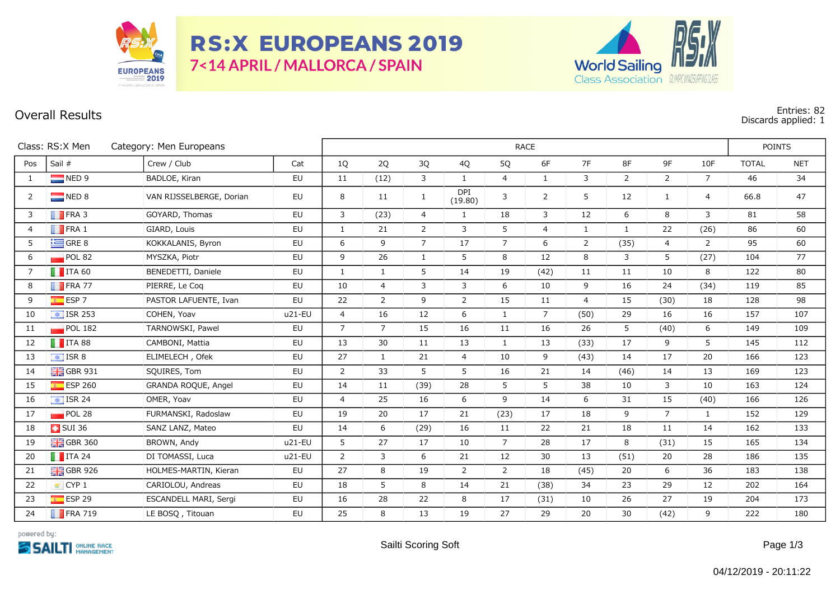

**RS:X EUROPEANS 2019** 7<14 APRIL / MALLORCA / SPAIN



## **Overall Results Entries: 82 Discards applied: 1**

|                | Class: RS:X Men<br>Category: Men Europeans | RACE                     |           |                |                |                |                |                |                |                |                | <b>POINTS</b>  |                |              |            |
|----------------|--------------------------------------------|--------------------------|-----------|----------------|----------------|----------------|----------------|----------------|----------------|----------------|----------------|----------------|----------------|--------------|------------|
| Pos            | Sail #                                     | Crew / Club              | Cat       | 1Q             | 2Q             | 3Q             | 4Q             | 5Q             | 6F             | 7F             | 8F             | 9F             | 10F            | <b>TOTAL</b> | <b>NET</b> |
| $\mathbf{1}$   | $\Box$ NED 9                               | BADLOE, Kiran            | EU        | 11             | (12)           | 3              | $\mathbf{1}$   | $\overline{4}$ | $\mathbf{1}$   | 3              | $\overline{2}$ | $\overline{2}$ | $\overline{7}$ | 46           | 34         |
| $\overline{2}$ | $\Box$ NED 8                               | VAN RIJSSELBERGE, Dorian | EU        | 8              | 11             | $\mathbf{1}$   | DPI<br>(19.80) | 3              | $\overline{2}$ | 5              | 12             | $\mathbf{1}$   | $\overline{4}$ | 66.8         | 47         |
| 3              | $\blacksquare$ FRA 3                       | GOYARD, Thomas           | EU        | 3              | (23)           | 4              | $\mathbf{1}$   | 18             | 3              | 12             | 6              | 8              | $\mathbf{3}$   | 81           | 58         |
| $\overline{4}$ | $\blacksquare$ FRA 1                       | GIARD, Louis             | EU        | $\mathbf{1}$   | 21             | 2              | 3              | 5              | $\overline{4}$ | $\mathbf{1}$   | $\mathbf{1}$   | 22             | (26)           | 86           | 60         |
| 5              | $\equiv$ GRE 8                             | KOKKALANIS, Byron        | EU        | 6              | 9              | $\overline{7}$ | 17             | $\overline{7}$ | 6              | $\overline{2}$ | (35)           | $\overline{4}$ | $\overline{2}$ | 95           | 60         |
| 6              | POL 82                                     | MYSZKA, Piotr            | EU        | 9              | 26             | $\mathbf{1}$   | 5              | 8              | 12             | 8              | 3              | 5              | (27)           | 104          | 77         |
| $\overline{7}$ | $\blacksquare$ ITA 60                      | BENEDETTI, Daniele       | EU        | $\mathbf{1}$   | $\mathbf{1}$   | 5              | 14             | 19             | (42)           | 11             | 11             | 10             | 8              | 122          | 80         |
| 8              | $\blacksquare$ FRA 77                      | PIERRE, Le Coq           | EU        | 10             | $\overline{4}$ | 3              | 3              | 6              | 10             | 9              | 16             | 24             | (34)           | 119          | 85         |
| 9              | $E$ ESP 7                                  | PASTOR LAFUENTE, Ivan    | EU        | 22             | $\overline{2}$ | 9              | $2^{\circ}$    | 15             | 11             | $\overline{4}$ | 15             | (30)           | 18             | 128          | 98         |
| 10             | $\boxed{\div}$ ISR 253                     | COHEN, Yoav              | $u21-EU$  | $\overline{4}$ | 16             | 12             | 6              | $\mathbf{1}$   | $\overline{7}$ | (50)           | 29             | 16             | 16             | 157          | 107        |
| 11             | $\blacksquare$ POL 182                     | TARNOWSKI, Pawel         | EU        | $\overline{7}$ | $7^{\circ}$    | 15             | 16             | 11             | 16             | 26             | 5              | (40)           | 6              | 149          | 109        |
| 12             | $\blacksquare$ ITA 88                      | CAMBONI, Mattia          | EU        | 13             | 30             | 11             | 13             | $\mathbf{1}$   | 13             | (33)           | 17             | 9              | 5              | 145          | 112        |
| 13             | $\frac{1}{2}$ ISR 8                        | ELIMELECH, Ofek          | <b>EU</b> | 27             | $\mathbf{1}$   | 21             | $\overline{4}$ | 10             | 9              | (43)           | 14             | 17             | 20             | 166          | 123        |
| 14             | $\frac{1}{26}$ GBR 931                     | SQUIRES, Tom             | EU        | $\overline{2}$ | 33             | 5              | 5              | 16             | 21             | 14             | (46)           | 14             | 13             | 169          | 123        |
| 15             | ESP 260                                    | GRANDA ROQUE, Angel      | EU        | 14             | 11             | (39)           | 28             | 5              | 5              | 38             | 10             | 3              | 10             | 163          | 124        |
| 16             | $\frac{1}{2}$ ISR 24                       | OMER, Yoav               | EU        | $\overline{4}$ | 25             | 16             | 6              | 9              | 14             | 6              | 31             | 15             | (40)           | 166          | 126        |
| 17             | POL 28                                     | FURMANSKI, Radoslaw      | EU        | 19             | 20             | 17             | 21             | (23)           | 17             | 18             | 9              | $\overline{7}$ | $\mathbf{1}$   | 152          | 129        |
| 18             | $\overline{1}$ SUI 36                      | SANZ LANZ, Mateo         | EU        | 14             | 6              | (29)           | 16             | 11             | 22             | 21             | 18             | 11             | 14             | 162          | 133        |
| 19             | $\frac{1}{20}$ GBR 360                     | BROWN, Andy              | u21-EU    | 5              | 27             | 17             | 10             | $\overline{7}$ | 28             | 17             | 8              | (31)           | 15             | 165          | 134        |
| 20             | $\blacksquare$ ITA 24                      | DI TOMASSI, Luca         | u21-EU    | $\overline{2}$ | 3              | 6              | 21             | 12             | 30             | 13             | (51)           | 20             | 28             | 186          | 135        |
| 21             | $\frac{1}{200}$ GBR 926                    | HOLMES-MARTIN, Kieran    | EU        | 27             | 8              | 19             | $\overline{2}$ | $\overline{2}$ | 18             | (45)           | 20             | 6              | 36             | 183          | 138        |
| 22             | $\vert$ CYP 1                              | CARIOLOU, Andreas        | EU        | 18             | 5              | 8              | 14             | 21             | (38)           | 34             | 23             | 29             | 12             | 202          | 164        |
| 23             | $E$ ESP 29                                 | ESCANDELL MARI, Sergi    | EU        | 16             | 28             | 22             | 8              | 17             | (31)           | 10             | 26             | 27             | 19             | 204          | 173        |
| 24             | $\blacksquare$ FRA 719                     | LE BOSQ, Titouan         | EU        | 25             | 8              | 13             | 19             | 27             | 29             | 20             | 30             | (42)           | 9              | 222          | 180        |

powered by: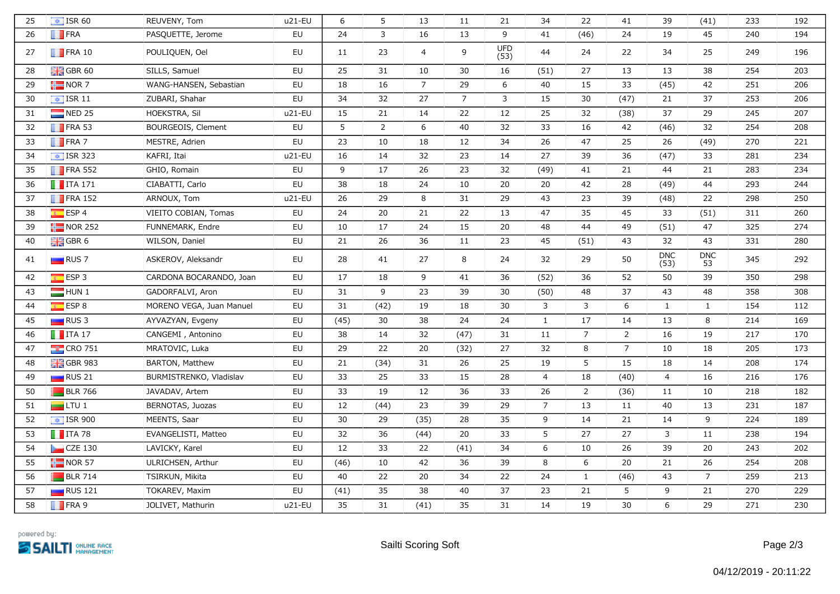| 25 | $\boxed{\bullet}$ ISR 60 | REUVENY, Tom             | u21-EU   | 6    | 5              | 13             | 11             | 21                 | 34             | 22             | 41             | 39                 | (41)             | 233 | 192 |
|----|--------------------------|--------------------------|----------|------|----------------|----------------|----------------|--------------------|----------------|----------------|----------------|--------------------|------------------|-----|-----|
| 26 | $\blacksquare$ FRA       | PASQUETTE, Jerome        | EU       | 24   | $\mathbf{3}$   | 16             | 13             | 9                  | 41             | (46)           | 24             | 19                 | 45               | 240 | 194 |
| 27 | $\blacksquare$ FRA 10    | POULIQUEN, Oel           | EU       | 11   | 23             | $\overline{a}$ | 9              | <b>UFD</b><br>(53) | 44             | 24             | 22             | 34                 | 25               | 249 | 196 |
| 28 | $\frac{1}{2}$ GBR 60     | SILLS, Samuel            | EU       | 25   | 31             | 10             | 30             | 16                 | (51)           | 27             | 13             | 13                 | 38               | 254 | 203 |
| 29 | $\frac{1}{2}$ NOR 7      | WANG-HANSEN, Sebastian   | EU       | 18   | 16             | $\overline{7}$ | 29             | 6                  | 40             | 15             | 33             | (45)               | 42               | 251 | 206 |
| 30 | $\boxed{\bullet}$ ISR 11 | ZUBARI, Shahar           | EU       | 34   | 32             | 27             | $\overline{7}$ | 3                  | 15             | 30             | (47)           | 21                 | 37               | 253 | 206 |
| 31 | $NED$ 25                 | HOEKSTRA, Sil            | u21-EU   | 15   | 21             | 14             | 22             | 12                 | 25             | 32             | (38)           | 37                 | 29               | 245 | 207 |
| 32 | $\blacksquare$ FRA 53    | BOURGEOIS, Clement       | EU       | 5    | $\overline{2}$ | 6              | 40             | 32                 | 33             | 16             | 42             | (46)               | 32               | 254 | 208 |
| 33 | $\blacksquare$ FRA 7     | MESTRE, Adrien           | EU       | 23   | 10             | 18             | 12             | 34                 | 26             | 47             | 25             | 26                 | (49)             | 270 | 221 |
| 34 | $\boxed{\div}$ ISR 323   | KAFRI, Itai              | u21-EU   | 16   | 14             | 32             | 23             | 14                 | 27             | 39             | 36             | (47)               | 33               | 281 | 234 |
| 35 | $\blacksquare$ FRA 552   | GHIO, Romain             | EU       | 9    | 17             | 26             | 23             | 32                 | (49)           | 41             | 21             | 44                 | 21               | 283 | 234 |
| 36 | $\blacksquare$ ITA 171   | CIABATTI, Carlo          | EU       | 38   | 18             | 24             | 10             | 20                 | 20             | 42             | 28             | (49)               | 44               | 293 | 244 |
| 37 | $\blacksquare$ FRA 152   | ARNOUX, Tom              | u21-EU   | 26   | 29             | 8              | 31             | 29                 | 43             | 23             | 39             | (48)               | 22               | 298 | 250 |
| 38 | $E$ ESP 4                | VIEITO COBIAN, Tomas     | EU       | 24   | 20             | 21             | 22             | 13                 | 47             | 35             | 45             | 33                 | (51)             | 311 | 260 |
| 39 | $\frac{1}{2}$ NOR 252    | FUNNEMARK, Endre         | EU       | 10   | 17             | 24             | 15             | 20                 | 48             | 44             | 49             | (51)               | 47               | 325 | 274 |
| 40 | $\frac{1}{2}$ GBR 6      | WILSON, Daniel           | EU       | 21   | 26             | 36             | 11             | 23                 | 45             | (51)           | 43             | 32                 | 43               | 331 | 280 |
| 41 | $\Box$ RUS 7             | ASKEROV, Aleksandr       | EU       | 28   | 41             | 27             | 8              | 24                 | 32             | 29             | 50             | <b>DNC</b><br>(53) | <b>DNC</b><br>53 | 345 | 292 |
| 42 | ESP3                     | CARDONA BOCARANDO, Joan  | EU       | 17   | 18             | 9              | 41             | 36                 | (52)           | 36             | 52             | 50                 | 39               | 350 | 298 |
| 43 | HUN 1                    | GADORFALVI, Aron         | EU       | 31   | 9              | 23             | 39             | 30                 | (50)           | 48             | 37             | 43                 | 48               | 358 | 308 |
| 44 | ESP 8                    | MORENO VEGA, Juan Manuel | EU       | 31   | (42)           | 19             | 18             | 30                 | $\mathbf{3}$   | 3              | 6              | $\mathbf{1}$       | $\mathbf{1}$     | 154 | 112 |
| 45 | $\Box$ RUS 3             | AYVAZYAN, Evgeny         | EU       | (45) | 30             | 38             | 24             | 24                 | 1              | 17             | 14             | 13                 | 8                | 214 | 169 |
| 46 | $\blacksquare$ ITA 17    | CANGEMI, Antonino        | EU       | 38   | 14             | 32             | (47)           | 31                 | 11             | $\overline{7}$ | $\overline{2}$ | 16                 | 19               | 217 | 170 |
| 47 | $\frac{1}{2}$ CRO 751    | MRATOVIC, Luka           | EU       | 29   | 22             | 20             | (32)           | 27                 | 32             | 8              | $\overline{7}$ | 10                 | 18               | 205 | 173 |
| 48 | <b>HE</b> GBR 983        | BARTON, Matthew          | EU       | 21   | (34)           | 31             | 26             | 25                 | 19             | 5              | 15             | 18                 | 14               | 208 | 174 |
| 49 | $\Box$ RUS 21            | BURMISTRENKO, Vladislav  | EU       | 33   | 25             | 33             | 15             | 28                 | $\overline{4}$ | 18             | (40)           | $\overline{4}$     | 16               | 216 | 176 |
| 50 | <b>BLR</b> 766           | JAVADAV, Artem           | EU       | 33   | 19             | 12             | 36             | 33                 | 26             | $\overline{2}$ | (36)           | 11                 | 10               | 218 | 182 |
| 51 | $\Box$ LTU 1             | BERNOTAS, Juozas         | EU       | 12   | (44)           | 23             | 39             | 29                 | $\overline{7}$ | 13             | 11             | 40                 | 13               | 231 | 187 |
| 52 | $\boxed{\div}$ ISR 900   | MEENTS, Saar             | EU       | 30   | 29             | (35)           | 28             | 35                 | 9              | 14             | 21             | 14                 | 9                | 224 | 189 |
| 53 | $\blacksquare$ ITA 78    | EVANGELISTI, Matteo      | EU       | 32   | 36             | (44)           | 20             | 33                 | 5              | 27             | 27             | $\mathbf{3}$       | 11               | 238 | 194 |
| 54 | $CZE$ 130                | LAVICKY, Karel           | EU       | 12   | 33             | 22             | (41)           | 34                 | 6              | 10             | 26             | 39                 | 20               | 243 | 202 |
| 55 | $\blacksquare$ NOR 57    | ULRICHSEN, Arthur        | EU       | (46) | 10             | 42             | 36             | 39                 | 8              | 6              | 20             | 21                 | 26               | 254 | 208 |
| 56 | <b>BLR</b> 714           | TSIRKUN, Mikita          | EU       | 40   | 22             | 20             | 34             | 22                 | 24             | $\mathbf{1}$   | (46)           | 43                 | $\overline{7}$   | 259 | 213 |
| 57 | $\Box$ RUS 121           | TOKAREV, Maxim           | EU       | (41) | 35             | 38             | 40             | 37                 | 23             | 21             | 5              | 9                  | 21               | 270 | 229 |
| 58 | $\blacksquare$ FRA 9     | JOLIVET, Mathurin        | $u21-EU$ | 35   | 31             | (41)           | 35             | 31                 | 14             | 19             | 30             | $6\,$              | 29               | 271 | 230 |